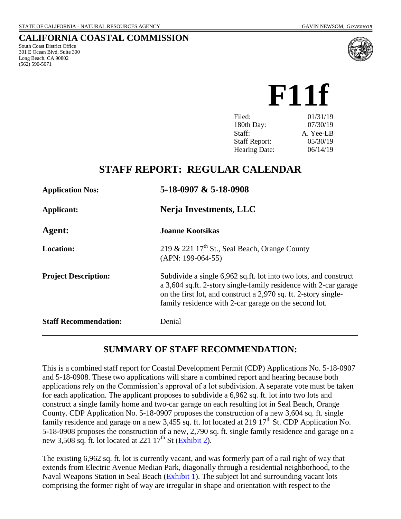#### **CALIFORNIA COASTAL COMMISSION**

South Coast District Office 301 E Ocean Blvd, Suite 300 Long Beach, CA 90802 (562) 590-5071



 **F11f**

| Filed:               | 01/31/19  |
|----------------------|-----------|
| 180th Day:           | 07/30/19  |
| Staff:               | A. Yee-LB |
| <b>Staff Report:</b> | 05/30/19  |
| <b>Hearing Date:</b> | 06/14/19  |

# **STAFF REPORT: REGULAR CALENDAR**

| <b>Application Nos:</b>      | 5-18-0907 & 5-18-0908                                                                                                                                                                                                                                            |  |  |
|------------------------------|------------------------------------------------------------------------------------------------------------------------------------------------------------------------------------------------------------------------------------------------------------------|--|--|
| Applicant:                   | Nerja Investments, LLC                                                                                                                                                                                                                                           |  |  |
| Agent:                       | <b>Joanne Kootsikas</b>                                                                                                                                                                                                                                          |  |  |
| <b>Location:</b>             | 219 & 221 $17th$ St., Seal Beach, Orange County<br>$(APN: 199-064-55)$                                                                                                                                                                                           |  |  |
| <b>Project Description:</b>  | Subdivide a single 6,962 sq.ft. lot into two lots, and construct<br>a 3,604 sq.ft. 2-story single-family residence with 2-car garage<br>on the first lot, and construct a 2,970 sq. ft. 2-story single-<br>family residence with 2-car garage on the second lot. |  |  |
| <b>Staff Recommendation:</b> | Denial                                                                                                                                                                                                                                                           |  |  |

### **SUMMARY OF STAFF RECOMMENDATION:**

This is a combined staff report for Coastal Development Permit (CDP) Applications No. 5-18-0907 and 5-18-0908. These two applications will share a combined report and hearing because both applications rely on the Commission's approval of a lot subdivision. A separate vote must be taken for each application. The applicant proposes to subdivide a 6,962 sq. ft. lot into two lots and construct a single family home and two-car garage on each resulting lot in Seal Beach, Orange County. CDP Application No. 5-18-0907 proposes the construction of a new 3,604 sq. ft. single family residence and garage on a new 3,455 sq. ft. lot located at 219 17<sup>th</sup> St. CDP Application No. 5-18-0908 proposes the construction of a new, 2,790 sq. ft. single family residence and garage on a new 3,508 sq. ft. lot located at 221  $17<sup>th</sup>$  St [\(Exhibit 2\)](https://documents.coastal.ca.gov/reports/2019/6/f11f/f11f-6-2019-exhibits.pdf).

The existing 6,962 sq. ft. lot is currently vacant, and was formerly part of a rail right of way that extends from Electric Avenue Median Park, diagonally through a residential neighborhood, to the Naval Weapons Station in Seal Beach [\(Exhibit 1\)](https://documents.coastal.ca.gov/reports/2019/6/f11f/f11f-6-2019-exhibits.pdf). The subject lot and surrounding vacant lots comprising the former right of way are irregular in shape and orientation with respect to the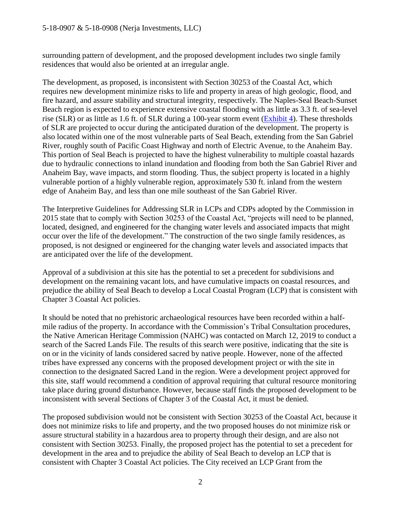surrounding pattern of development, and the proposed development includes two single family residences that would also be oriented at an irregular angle.

The development, as proposed, is inconsistent with Section 30253 of the Coastal Act, which requires new development minimize risks to life and property in areas of high geologic, flood, and fire hazard, and assure stability and structural integrity, respectively. The Naples-Seal Beach-Sunset Beach region is expected to experience extensive coastal flooding with as little as 3.3 ft. of sea-level rise (SLR) or as little as 1.6 ft. of SLR during a 100-year storm event [\(Exhibit 4\)](https://documents.coastal.ca.gov/reports/2019/6/f11f/f11f-6-2019-exhibits.pdf). These thresholds of SLR are projected to occur during the anticipated duration of the development. The property is also located within one of the most vulnerable parts of Seal Beach, extending from the San Gabriel River, roughly south of Pacific Coast Highway and north of Electric Avenue, to the Anaheim Bay. This portion of Seal Beach is projected to have the highest vulnerability to multiple coastal hazards due to hydraulic connections to inland inundation and flooding from both the San Gabriel River and Anaheim Bay, wave impacts, and storm flooding. Thus, the subject property is located in a highly vulnerable portion of a highly vulnerable region, approximately 530 ft. inland from the western edge of Anaheim Bay, and less than one mile southeast of the San Gabriel River.

The Interpretive Guidelines for Addressing SLR in LCPs and CDPs adopted by the Commission in 2015 state that to comply with Section 30253 of the Coastal Act, "projects will need to be planned, located, designed, and engineered for the changing water levels and associated impacts that might occur over the life of the development." The construction of the two single family residences, as proposed, is not designed or engineered for the changing water levels and associated impacts that are anticipated over the life of the development.

Approval of a subdivision at this site has the potential to set a precedent for subdivisions and development on the remaining vacant lots, and have cumulative impacts on coastal resources, and prejudice the ability of Seal Beach to develop a Local Coastal Program (LCP) that is consistent with Chapter 3 Coastal Act policies.

It should be noted that no prehistoric archaeological resources have been recorded within a halfmile radius of the property. In accordance with the Commission's Tribal Consultation procedures, the Native American Heritage Commission (NAHC) was contacted on March 12, 2019 to conduct a search of the Sacred Lands File. The results of this search were positive, indicating that the site is on or in the vicinity of lands considered sacred by native people. However, none of the affected tribes have expressed any concerns with the proposed development project or with the site in connection to the designated Sacred Land in the region. Were a development project approved for this site, staff would recommend a condition of approval requiring that cultural resource monitoring take place during ground disturbance. However, because staff finds the proposed development to be inconsistent with several Sections of Chapter 3 of the Coastal Act, it must be denied.

The proposed subdivision would not be consistent with Section 30253 of the Coastal Act, because it does not minimize risks to life and property, and the two proposed houses do not minimize risk or assure structural stability in a hazardous area to property through their design, and are also not consistent with Section 30253. Finally, the proposed project has the potential to set a precedent for development in the area and to prejudice the ability of Seal Beach to develop an LCP that is consistent with Chapter 3 Coastal Act policies. The City received an LCP Grant from the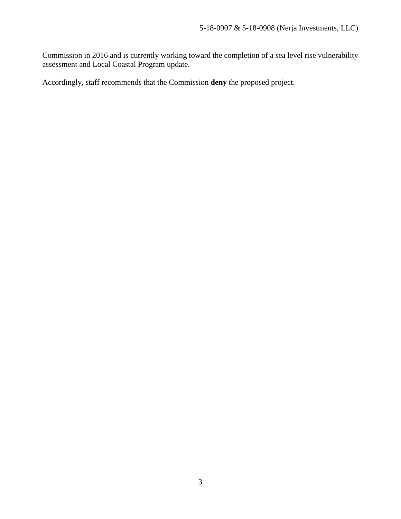Commission in 2016 and is currently working toward the completion of a sea level rise vulnerability assessment and Local Coastal Program update.

Accordingly, staff recommends that the Commission **deny** the proposed project.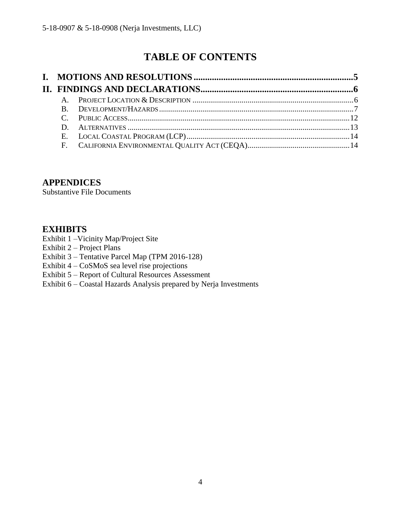# **TABLE OF CONTENTS**

### **APPENDICES**

Substantive File Documents

### **EXHIBITS**

- Exhibit 1 –Vicinity Map/Project Site
- Exhibit 2 Project Plans
- Exhibit 3 Tentative Parcel Map (TPM 2016-128)
- Exhibit 4 CoSMoS sea level rise projections
- Exhibit 5 Report of Cultural Resources Assessment
- Exhibit 6 Coastal Hazards Analysis prepared by Nerja Investments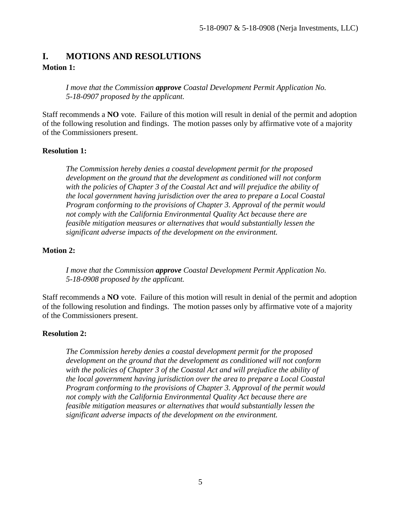### <span id="page-4-0"></span>**I. MOTIONS AND RESOLUTIONS Motion 1:**

*I move that the Commission approve Coastal Development Permit Application No. 5-18-0907 proposed by the applicant.*

Staff recommends a **NO** vote. Failure of this motion will result in denial of the permit and adoption of the following resolution and findings. The motion passes only by affirmative vote of a majority of the Commissioners present.

#### **Resolution 1:**

*The Commission hereby denies a coastal development permit for the proposed development on the ground that the development as conditioned will not conform with the policies of Chapter 3 of the Coastal Act and will prejudice the ability of the local government having jurisdiction over the area to prepare a Local Coastal Program conforming to the provisions of Chapter 3. Approval of the permit would not comply with the California Environmental Quality Act because there are feasible mitigation measures or alternatives that would substantially lessen the significant adverse impacts of the development on the environment.*

#### **Motion 2:**

*I move that the Commission approve Coastal Development Permit Application No. 5-18-0908 proposed by the applicant.*

Staff recommends a **NO** vote. Failure of this motion will result in denial of the permit and adoption of the following resolution and findings. The motion passes only by affirmative vote of a majority of the Commissioners present.

#### **Resolution 2:**

*The Commission hereby denies a coastal development permit for the proposed development on the ground that the development as conditioned will not conform with the policies of Chapter 3 of the Coastal Act and will prejudice the ability of the local government having jurisdiction over the area to prepare a Local Coastal Program conforming to the provisions of Chapter 3. Approval of the permit would not comply with the California Environmental Quality Act because there are feasible mitigation measures or alternatives that would substantially lessen the significant adverse impacts of the development on the environment.*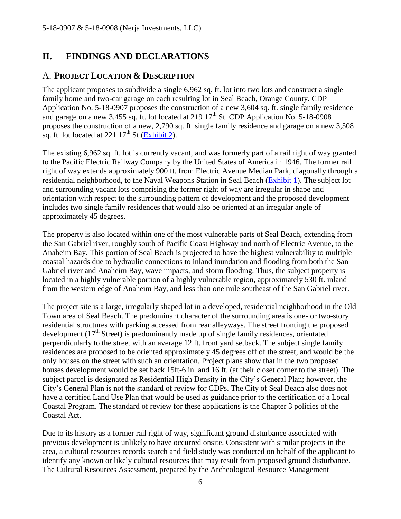# <span id="page-5-0"></span>**II. FINDINGS AND DECLARATIONS**

### <span id="page-5-1"></span>A. **PROJECT LOCATION & DESCRIPTION**

The applicant proposes to subdivide a single 6,962 sq. ft. lot into two lots and construct a single family home and two-car garage on each resulting lot in Seal Beach, Orange County. CDP Application No. 5-18-0907 proposes the construction of a new 3,604 sq. ft. single family residence and garage on a new 3,455 sq. ft. lot located at 219  $17<sup>th</sup>$  St. CDP Application No. 5-18-0908 proposes the construction of a new, 2,790 sq. ft. single family residence and garage on a new 3,508 sq. ft. lot located at  $221 \frac{17^{\text{th}}}{\text{St}}$  [\(Exhibit 2\)](https://documents.coastal.ca.gov/reports/2019/6/f11f/f11f-6-2019-exhibits.pdf).

The existing 6,962 sq. ft. lot is currently vacant, and was formerly part of a rail right of way granted to the Pacific Electric Railway Company by the United States of America in 1946. The former rail right of way extends approximately 900 ft. from Electric Avenue Median Park, diagonally through a residential neighborhood, to the Naval Weapons Station in Seal Beach [\(Exhibit 1\)](https://documents.coastal.ca.gov/reports/2019/6/f11f/f11f-6-2019-exhibits.pdf). The subject lot and surrounding vacant lots comprising the former right of way are irregular in shape and orientation with respect to the surrounding pattern of development and the proposed development includes two single family residences that would also be oriented at an irregular angle of approximately 45 degrees.

The property is also located within one of the most vulnerable parts of Seal Beach, extending from the San Gabriel river, roughly south of Pacific Coast Highway and north of Electric Avenue, to the Anaheim Bay. This portion of Seal Beach is projected to have the highest vulnerability to multiple coastal hazards due to hydraulic connections to inland inundation and flooding from both the San Gabriel river and Anaheim Bay, wave impacts, and storm flooding. Thus, the subject property is located in a highly vulnerable portion of a highly vulnerable region, approximately 530 ft. inland from the western edge of Anaheim Bay, and less than one mile southeast of the San Gabriel river.

The project site is a large, irregularly shaped lot in a developed, residential neighborhood in the Old Town area of Seal Beach. The predominant character of the surrounding area is one- or two-story residential structures with parking accessed from rear alleyways. The street fronting the proposed development  $(17<sup>th</sup> Street)$  is predominantly made up of single family residences, orientated perpendicularly to the street with an average 12 ft. front yard setback. The subject single family residences are proposed to be oriented approximately 45 degrees off of the street, and would be the only houses on the street with such an orientation. Project plans show that in the two proposed houses development would be set back 15ft-6 in. and 16 ft. (at their closet corner to the street). The subject parcel is designated as Residential High Density in the City's General Plan; however, the City's General Plan is not the standard of review for CDPs. The City of Seal Beach also does not have a certified Land Use Plan that would be used as guidance prior to the certification of a Local Coastal Program. The standard of review for these applications is the Chapter 3 policies of the Coastal Act.

Due to its history as a former rail right of way, significant ground disturbance associated with previous development is unlikely to have occurred onsite. Consistent with similar projects in the area, a cultural resources records search and field study was conducted on behalf of the applicant to identify any known or likely cultural resources that may result from proposed ground disturbance. The Cultural Resources Assessment, prepared by the Archeological Resource Management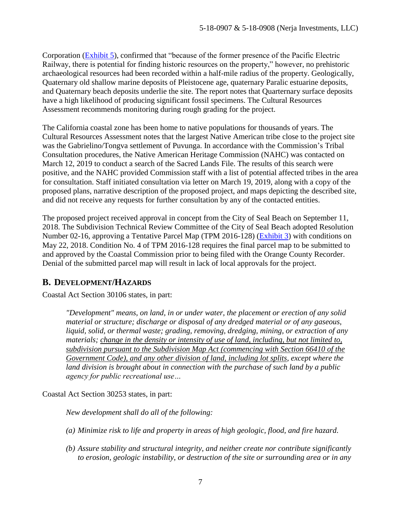Corporation [\(Exhibit 5\)](https://documents.coastal.ca.gov/reports/2019/6/f11f/f11f-6-2019-exhibits.pdf), confirmed that "because of the former presence of the Pacific Electric Railway, there is potential for finding historic resources on the property," however, no prehistoric archaeological resources had been recorded within a half-mile radius of the property. Geologically, Quaternary old shallow marine deposits of Pleistocene age, quaternary Paralic estuarine deposits, and Quaternary beach deposits underlie the site. The report notes that Quarternary surface deposits have a high likelihood of producing significant fossil specimens. The Cultural Resources Assessment recommends monitoring during rough grading for the project.

The California coastal zone has been home to native populations for thousands of years. The Cultural Resources Assessment notes that the largest Native American tribe close to the project site was the Gabrielino/Tongva settlement of Puvunga. In accordance with the Commission's Tribal Consultation procedures, the Native American Heritage Commission (NAHC) was contacted on March 12, 2019 to conduct a search of the Sacred Lands File. The results of this search were positive, and the NAHC provided Commission staff with a list of potential affected tribes in the area for consultation. Staff initiated consultation via letter on March 19, 2019, along with a copy of the proposed plans, narrative description of the proposed project, and maps depicting the described site, and did not receive any requests for further consultation by any of the contacted entities.

The proposed project received approval in concept from the City of Seal Beach on September 11, 2018. The Subdivision Technical Review Committee of the City of Seal Beach adopted Resolution Number 02-16, approving a Tentative Parcel Map (TPM 2016-128) [\(Exhibit 3\)](https://documents.coastal.ca.gov/reports/2019/6/f11f/f11f-6-2019-exhibits.pdf) with conditions on May 22, 2018. Condition No. 4 of TPM 2016-128 requires the final parcel map to be submitted to and approved by the Coastal Commission prior to being filed with the Orange County Recorder. Denial of the submitted parcel map will result in lack of local approvals for the project.

### <span id="page-6-0"></span>**B. DEVELOPMENT/HAZARDS**

Coastal Act Section 30106 states, in part:

*"Development" means, on land, in or under water, the placement or erection of any solid material or structure; discharge or disposal of any dredged material or of any gaseous, liquid, solid, or thermal waste; grading, removing, dredging, mining, or extraction of any materials; change in the density or intensity of use of land, including, but not limited to, subdivision pursuant to the Subdivision Map Act (commencing with Section 66410 of the Government Code), and any other division of land, including lot splits, except where the land division is brought about in connection with the purchase of such land by a public agency for public recreational use…*

Coastal Act Section 30253 states, in part:

*New development shall do all of the following:*

- *(a) Minimize risk to life and property in areas of high geologic, flood, and fire hazard.*
- *(b) Assure stability and structural integrity, and neither create nor contribute significantly to erosion, geologic instability, or destruction of the site or surrounding area or in any*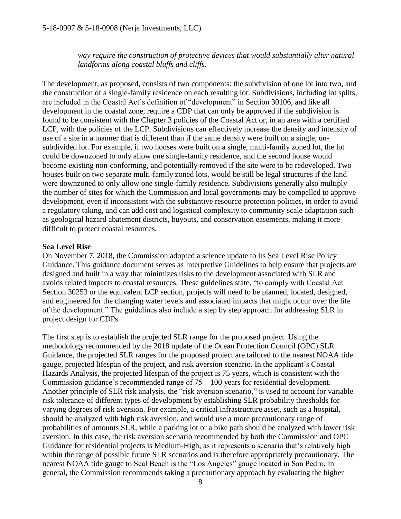*way require the construction of protective devices that would substantially alter natural landforms along coastal bluffs and cliffs.*

The development, as proposed, consists of two components: the subdivision of one lot into two, and the construction of a single-family residence on each resulting lot. Subdivisions, including lot splits, are included in the Coastal Act's definition of "development" in Section 30106, and like all development in the coastal zone, require a CDP that can only be approved if the subdivision is found to be consistent with the Chapter 3 policies of the Coastal Act or, in an area with a certified LCP, with the policies of the LCP. Subdivisions can effectively increase the density and intensity of use of a site in a manner that is different than if the same density were built on a single, unsubdivided lot. For example, if two houses were built on a single, multi-family zoned lot, the lot could be downzoned to only allow one single-family residence, and the second house would become existing non-conforming, and potentially removed if the site were to be redeveloped. Two houses built on two separate multi-family zoned lots, would be still be legal structures if the land were downzoned to only allow one single-family residence. Subdivisions generally also multiply the number of sites for which the Commission and local governments may be compelled to approve development, even if inconsistent with the substantive resource protection policies, in order to avoid a regulatory taking, and can add cost and logistical complexity to community scale adaptation such as geological hazard abatement districts, buyouts, and conservation easements, making it more difficult to protect coastal resources.

#### **Sea Level Rise**

On November 7, 2018, the Commission adopted a science update to its Sea Level Rise Policy Guidance. This guidance document serves as Interpretive Guidelines to help ensure that projects are designed and built in a way that minimizes risks to the development associated with SLR and avoids related impacts to coastal resources. These guidelines state, "to comply with Coastal Act Section 30253 or the equivalent LCP section, projects will need to be planned, located, designed, and engineered for the changing water levels and associated impacts that might occur over the life of the development." The guidelines also include a step by step approach for addressing SLR in project design for CDPs.

The first step is to establish the projected SLR range for the proposed project. Using the methodology recommended by the 2018 update of the Ocean Protection Council (OPC) SLR Guidance, the projected SLR ranges for the proposed project are tailored to the nearest NOAA tide gauge, projected lifespan of the project, and risk aversion scenario. In the applicant's Coastal Hazards Analysis, the projected lifespan of the project is 75 years, which is consistent with the Commission guidance's recommended range of  $75 - 100$  years for residential development. Another principle of SLR risk analysis, the "risk aversion scenario," is used to account for variable risk tolerance of different types of development by establishing SLR probability thresholds for varying degrees of risk aversion. For example, a critical infrastructure asset, such as a hospital, should be analyzed with high risk aversion, and would use a more precautionary range of probabilities of amounts SLR, while a parking lot or a bike path should be analyzed with lower risk aversion. In this case, the risk aversion scenario recommended by both the Commission and OPC Guidance for residential projects is Medium-High, as it represents a scenario that's relatively high within the range of possible future SLR scenarios and is therefore appropriately precautionary. The nearest NOAA tide gauge to Seal Beach is the "Los Angeles" gauge located in San Pedro. In general, the Commission recommends taking a precautionary approach by evaluating the higher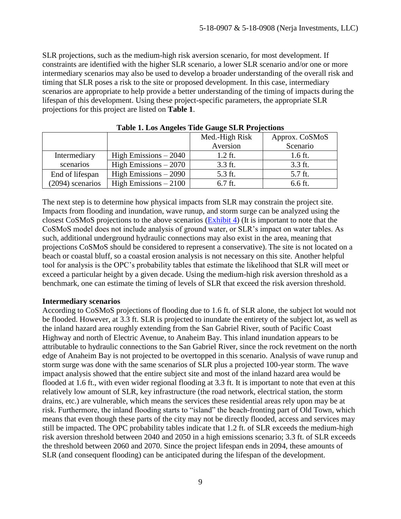SLR projections, such as the medium-high risk aversion scenario, for most development. If constraints are identified with the higher SLR scenario, a lower SLR scenario and/or one or more intermediary scenarios may also be used to develop a broader understanding of the overall risk and timing that SLR poses a risk to the site or proposed development. In this case, intermediary scenarios are appropriate to help provide a better understanding of the timing of impacts during the lifespan of this development. Using these project-specific parameters, the appropriate SLR projections for this project are listed on **Table 1**.

|                  | . .                    | Med.-High Risk | Approx. CoSMoS |
|------------------|------------------------|----------------|----------------|
|                  |                        | Aversion       | Scenario       |
| Intermediary     | High Emissions $-2040$ | $1.2$ ft.      | 1.6 ft.        |
| scenarios        | High Emissions $-2070$ | 3.3 ft.        | 3.3 ft.        |
| End of lifespan  | High Emissions $-2090$ | 5.3 ft.        | 5.7 ft.        |
| (2094) scenarios | High Emissions $-2100$ | $6.7$ ft.      | 6.6 ft.        |

**Table 1. Los Angeles Tide Gauge SLR Projections**

The next step is to determine how physical impacts from SLR may constrain the project site. Impacts from flooding and inundation, wave runup, and storm surge can be analyzed using the closest CoSMoS projections to the above scenarios [\(Exhibit 4\)](http://data.pointblue.org/apps/ocof/cms/index.php?page=flood-maphttps://documents.coastal.ca.gov/reports/2019/6/F11f/F11f-6-2019-exhibits.pdf) (It is important to note that the CoSMoS model does not include analysis of ground water, or SLR's impact on water tables. As such, additional underground hydraulic connections may also exist in the area, meaning that projections CoSMoS should be considered to represent a conservative). The site is not located on a beach or coastal bluff, so a coastal erosion analysis is not necessary on this site. Another helpful tool for analysis is the OPC's probability tables that estimate the likelihood that SLR will meet or exceed a particular height by a given decade. Using the medium-high risk aversion threshold as a benchmark, one can estimate the timing of levels of SLR that exceed the risk aversion threshold.

#### **Intermediary scenarios**

According to CoSMoS projections of flooding due to 1.6 ft. of SLR alone, the subject lot would not be flooded. However, at 3.3 ft. SLR is projected to inundate the entirety of the subject lot, as well as the inland hazard area roughly extending from the San Gabriel River, south of Pacific Coast Highway and north of Electric Avenue, to Anaheim Bay. This inland inundation appears to be attributable to hydraulic connections to the San Gabriel River, since the rock revetment on the north edge of Anaheim Bay is not projected to be overtopped in this scenario. Analysis of wave runup and storm surge was done with the same scenarios of SLR plus a projected 100-year storm. The wave impact analysis showed that the entire subject site and most of the inland hazard area would be flooded at 1.6 ft., with even wider regional flooding at 3.3 ft. It is important to note that even at this relatively low amount of SLR, key infrastructure (the road network, electrical station, the storm drains, etc.) are vulnerable, which means the services these residential areas rely upon may be at risk. Furthermore, the inland flooding starts to "island" the beach-fronting part of Old Town, which means that even though these parts of the city may not be directly flooded, access and services may still be impacted. The OPC probability tables indicate that 1.2 ft. of SLR exceeds the medium-high risk aversion threshold between 2040 and 2050 in a high emissions scenario; 3.3 ft. of SLR exceeds the threshold between 2060 and 2070. Since the project lifespan ends in 2094, these amounts of SLR (and consequent flooding) can be anticipated during the lifespan of the development.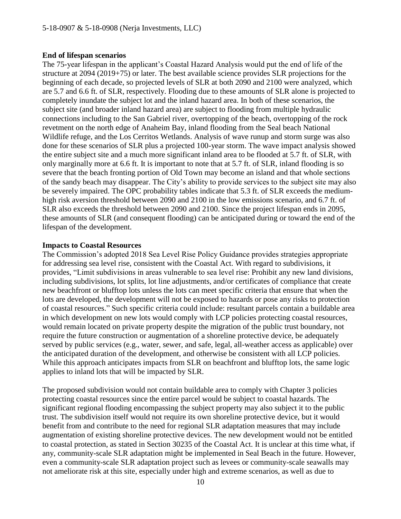#### **End of lifespan scenarios**

The 75-year lifespan in the applicant's Coastal Hazard Analysis would put the end of life of the structure at 2094 (2019+75) or later. The best available science provides SLR projections for the beginning of each decade, so projected levels of SLR at both 2090 and 2100 were analyzed, which are 5.7 and 6.6 ft. of SLR, respectively. Flooding due to these amounts of SLR alone is projected to completely inundate the subject lot and the inland hazard area. In both of these scenarios, the subject site (and broader inland hazard area) are subject to flooding from multiple hydraulic connections including to the San Gabriel river, overtopping of the beach, overtopping of the rock revetment on the north edge of Anaheim Bay, inland flooding from the Seal beach National Wildlife refuge, and the Los Cerritos Wetlands. Analysis of wave runup and storm surge was also done for these scenarios of SLR plus a projected 100-year storm. The wave impact analysis showed the entire subject site and a much more significant inland area to be flooded at 5.7 ft. of SLR, with only marginally more at 6.6 ft. It is important to note that at 5.7 ft. of SLR, inland flooding is so severe that the beach fronting portion of Old Town may become an island and that whole sections of the sandy beach may disappear. The City's ability to provide services to the subject site may also be severely impaired. The OPC probability tables indicate that 5.3 ft. of SLR exceeds the mediumhigh risk aversion threshold between 2090 and 2100 in the low emissions scenario, and 6.7 ft. of SLR also exceeds the threshold between 2090 and 2100. Since the project lifespan ends in 2095, these amounts of SLR (and consequent flooding) can be anticipated during or toward the end of the lifespan of the development.

#### **Impacts to Coastal Resources**

The Commission's adopted 2018 Sea Level Rise Policy Guidance provides strategies appropriate for addressing sea level rise, consistent with the Coastal Act. With regard to subdivisions, it provides, "Limit subdivisions in areas vulnerable to sea level rise: Prohibit any new land divisions, including subdivisions, lot splits, lot line adjustments, and/or certificates of compliance that create new beachfront or blufftop lots unless the lots can meet specific criteria that ensure that when the lots are developed, the development will not be exposed to hazards or pose any risks to protection of coastal resources." Such specific criteria could include: resultant parcels contain a buildable area in which development on new lots would comply with LCP policies protecting coastal resources, would remain located on private property despite the migration of the public trust boundary, not require the future construction or augmentation of a shoreline protective device, be adequately served by public services (e.g., water, sewer, and safe, legal, all-weather access as applicable) over the anticipated duration of the development, and otherwise be consistent with all LCP policies. While this approach anticipates impacts from SLR on beachfront and blufftop lots, the same logic applies to inland lots that will be impacted by SLR.

The proposed subdivision would not contain buildable area to comply with Chapter 3 policies protecting coastal resources since the entire parcel would be subject to coastal hazards. The significant regional flooding encompassing the subject property may also subject it to the public trust. The subdivision itself would not require its own shoreline protective device, but it would benefit from and contribute to the need for regional SLR adaptation measures that may include augmentation of existing shoreline protective devices. The new development would not be entitled to coastal protection, as stated in Section 30235 of the Coastal Act. It is unclear at this time what, if any, community-scale SLR adaptation might be implemented in Seal Beach in the future. However, even a community-scale SLR adaptation project such as levees or community-scale seawalls may not ameliorate risk at this site, especially under high and extreme scenarios, as well as due to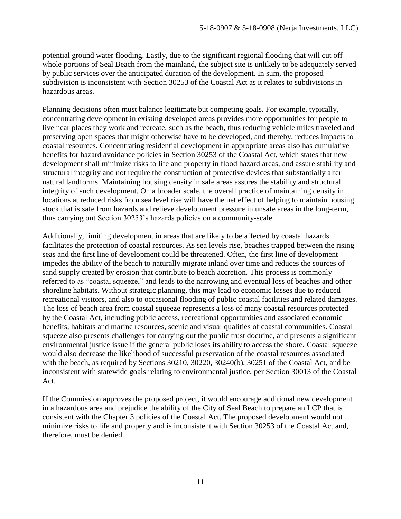potential ground water flooding. Lastly, due to the significant regional flooding that will cut off whole portions of Seal Beach from the mainland, the subject site is unlikely to be adequately served by public services over the anticipated duration of the development. In sum, the proposed subdivision is inconsistent with Section 30253 of the Coastal Act as it relates to subdivisions in hazardous areas.

Planning decisions often must balance legitimate but competing goals. For example, typically, concentrating development in existing developed areas provides more opportunities for people to live near places they work and recreate, such as the beach, thus reducing vehicle miles traveled and preserving open spaces that might otherwise have to be developed, and thereby, reduces impacts to coastal resources. Concentrating residential development in appropriate areas also has cumulative benefits for hazard avoidance policies in Section 30253 of the Coastal Act, which states that new development shall minimize risks to life and property in flood hazard areas, and assure stability and structural integrity and not require the construction of protective devices that substantially alter natural landforms. Maintaining housing density in safe areas assures the stability and structural integrity of such development. On a broader scale, the overall practice of maintaining density in locations at reduced risks from sea level rise will have the net effect of helping to maintain housing stock that is safe from hazards and relieve development pressure in unsafe areas in the long-term, thus carrying out Section 30253's hazards policies on a community-scale.

Additionally, limiting development in areas that are likely to be affected by coastal hazards facilitates the protection of coastal resources. As sea levels rise, beaches trapped between the rising seas and the first line of development could be threatened. Often, the first line of development impedes the ability of the beach to naturally migrate inland over time and reduces the sources of sand supply created by erosion that contribute to beach accretion. This process is commonly referred to as "coastal squeeze," and leads to the narrowing and eventual loss of beaches and other shoreline habitats. Without strategic planning, this may lead to economic losses due to reduced recreational visitors, and also to occasional flooding of public coastal facilities and related damages. The loss of beach area from coastal squeeze represents a loss of many coastal resources protected by the Coastal Act, including public access, recreational opportunities and associated economic benefits, habitats and marine resources, scenic and visual qualities of coastal communities. Coastal squeeze also presents challenges for carrying out the public trust doctrine, and presents a significant environmental justice issue if the general public loses its ability to access the shore. Coastal squeeze would also decrease the likelihood of successful preservation of the coastal resources associated with the beach, as required by Sections 30210, 30220, 30240(b), 30251 of the Coastal Act, and be inconsistent with statewide goals relating to environmental justice, per Section 30013 of the Coastal Act.

If the Commission approves the proposed project, it would encourage additional new development in a hazardous area and prejudice the ability of the City of Seal Beach to prepare an LCP that is consistent with the Chapter 3 policies of the Coastal Act. The proposed development would not minimize risks to life and property and is inconsistent with Section 30253 of the Coastal Act and, therefore, must be denied.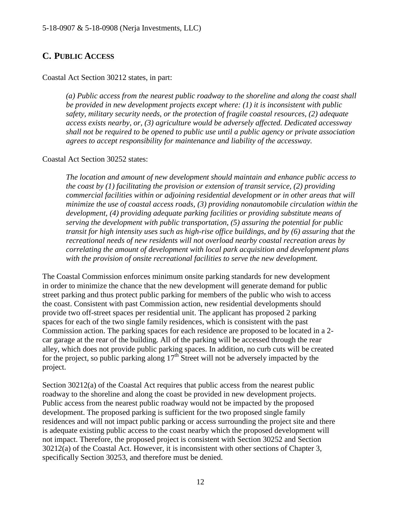### <span id="page-11-0"></span>**C. PUBLIC ACCESS**

Coastal Act Section 30212 states, in part:

*(a) Public access from the nearest public roadway to the shoreline and along the coast shall be provided in new development projects except where: (1) it is inconsistent with public safety, military security needs, or the protection of fragile coastal resources, (2) adequate access exists nearby, or, (3) agriculture would be adversely affected. Dedicated accessway shall not be required to be opened to public use until a public agency or private association agrees to accept responsibility for maintenance and liability of the accessway.*

Coastal Act Section 30252 states:

*The location and amount of new development should maintain and enhance public access to the coast by (1) facilitating the provision or extension of transit service, (2) providing commercial facilities within or adjoining residential development or in other areas that will minimize the use of coastal access roads, (3) providing nonautomobile circulation within the development, (4) providing adequate parking facilities or providing substitute means of serving the development with public transportation, (5) assuring the potential for public transit for high intensity uses such as high-rise office buildings, and by (6) assuring that the recreational needs of new residents will not overload nearby coastal recreation areas by correlating the amount of development with local park acquisition and development plans with the provision of onsite recreational facilities to serve the new development.*

The Coastal Commission enforces minimum onsite parking standards for new development in order to minimize the chance that the new development will generate demand for public street parking and thus protect public parking for members of the public who wish to access the coast. Consistent with past Commission action, new residential developments should provide two off-street spaces per residential unit. The applicant has proposed 2 parking spaces for each of the two single family residences, which is consistent with the past Commission action. The parking spaces for each residence are proposed to be located in a 2 car garage at the rear of the building. All of the parking will be accessed through the rear alley, which does not provide public parking spaces. In addition, no curb cuts will be created for the project, so public parking along  $17<sup>th</sup>$  Street will not be adversely impacted by the project.

Section 30212(a) of the Coastal Act requires that public access from the nearest public roadway to the shoreline and along the coast be provided in new development projects. Public access from the nearest public roadway would not be impacted by the proposed development. The proposed parking is sufficient for the two proposed single family residences and will not impact public parking or access surrounding the project site and there is adequate existing public access to the coast nearby which the proposed development will not impact. Therefore, the proposed project is consistent with Section 30252 and Section 30212(a) of the Coastal Act. However, it is inconsistent with other sections of Chapter 3, specifically Section 30253, and therefore must be denied.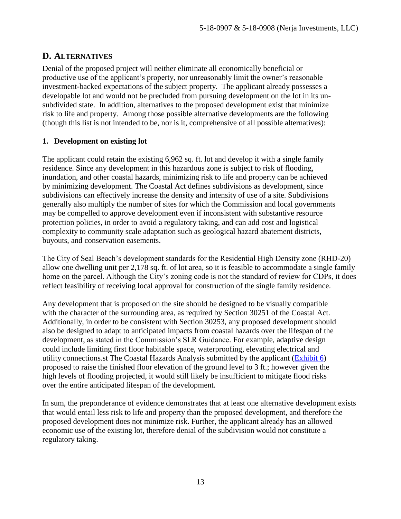### <span id="page-12-0"></span>**D. ALTERNATIVES**

Denial of the proposed project will neither eliminate all economically beneficial or productive use of the applicant's property, nor unreasonably limit the owner's reasonable investment-backed expectations of the subject property. The applicant already possesses a developable lot and would not be precluded from pursuing development on the lot in its unsubdivided state. In addition, alternatives to the proposed development exist that minimize risk to life and property. Among those possible alternative developments are the following (though this list is not intended to be, nor is it, comprehensive of all possible alternatives):

### **1. Development on existing lot**

The applicant could retain the existing 6,962 sq. ft. lot and develop it with a single family residence. Since any development in this hazardous zone is subject to risk of flooding, inundation, and other coastal hazards, minimizing risk to life and property can be achieved by minimizing development. The Coastal Act defines subdivisions as development, since subdivisions can effectively increase the density and intensity of use of a site. Subdivisions generally also multiply the number of sites for which the Commission and local governments may be compelled to approve development even if inconsistent with substantive resource protection policies, in order to avoid a regulatory taking, and can add cost and logistical complexity to community scale adaptation such as geological hazard abatement districts, buyouts, and conservation easements.

The City of Seal Beach's development standards for the Residential High Density zone (RHD-20) allow one dwelling unit per 2,178 sq. ft. of lot area, so it is feasible to accommodate a single family home on the parcel. Although the City's zoning code is not the standard of review for CDPs, it does reflect feasibility of receiving local approval for construction of the single family residence.

Any development that is proposed on the site should be designed to be visually compatible with the character of the surrounding area, as required by Section 30251 of the Coastal Act. Additionally, in order to be consistent with Section 30253, any proposed development should also be designed to adapt to anticipated impacts from coastal hazards over the lifespan of the development, as stated in the Commission's SLR Guidance. For example, adaptive design could include limiting first floor habitable space, waterproofing, elevating electrical and utility connections.st The Coastal Hazards Analysis submitted by the applicant [\(Exhibit 6\)](https://documents.coastal.ca.gov/reports/2019/6/F11f/F11f-6-2019-exhibits.pdf) proposed to raise the finished floor elevation of the ground level to 3 ft.; however given the high levels of flooding projected, it would still likely be insufficient to mitigate flood risks over the entire anticipated lifespan of the development.

In sum, the preponderance of evidence demonstrates that at least one alternative development exists that would entail less risk to life and property than the proposed development, and therefore the proposed development does not minimize risk. Further, the applicant already has an allowed economic use of the existing lot, therefore denial of the subdivision would not constitute a regulatory taking.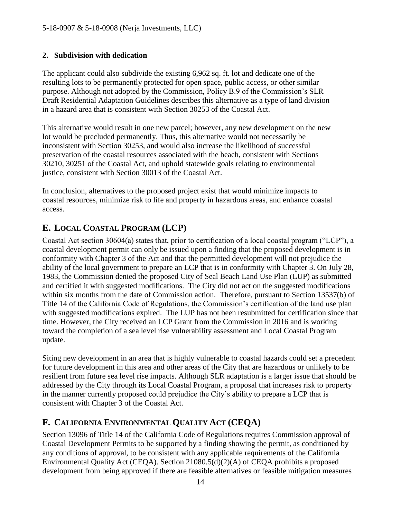### **2. Subdivision with dedication**

The applicant could also subdivide the existing 6,962 sq. ft. lot and dedicate one of the resulting lots to be permanently protected for open space, public access, or other similar purpose. Although not adopted by the Commission, Policy B.9 of the Commission's SLR Draft Residential Adaptation Guidelines describes this alternative as a type of land division in a hazard area that is consistent with Section 30253 of the Coastal Act.

This alternative would result in one new parcel; however, any new development on the new lot would be precluded permanently. Thus, this alternative would not necessarily be inconsistent with Section 30253, and would also increase the likelihood of successful preservation of the coastal resources associated with the beach, consistent with Sections 30210, 30251 of the Coastal Act, and uphold statewide goals relating to environmental justice, consistent with Section 30013 of the Coastal Act.

In conclusion, alternatives to the proposed project exist that would minimize impacts to coastal resources, minimize risk to life and property in hazardous areas, and enhance coastal access.

# <span id="page-13-0"></span>**E. LOCAL COASTAL PROGRAM (LCP)**

Coastal Act section 30604(a) states that, prior to certification of a local coastal program ("LCP"), a coastal development permit can only be issued upon a finding that the proposed development is in conformity with Chapter 3 of the Act and that the permitted development will not prejudice the ability of the local government to prepare an LCP that is in conformity with Chapter 3. On July 28, 1983, the Commission denied the proposed City of Seal Beach Land Use Plan (LUP) as submitted and certified it with suggested modifications. The City did not act on the suggested modifications within six months from the date of Commission action. Therefore, pursuant to Section 13537(b) of Title 14 of the California Code of Regulations, the Commission's certification of the land use plan with suggested modifications expired. The LUP has not been resubmitted for certification since that time. However, the City received an LCP Grant from the Commission in 2016 and is working toward the completion of a sea level rise vulnerability assessment and Local Coastal Program update.

Siting new development in an area that is highly vulnerable to coastal hazards could set a precedent for future development in this area and other areas of the City that are hazardous or unlikely to be resilient from future sea level rise impacts. Although SLR adaptation is a larger issue that should be addressed by the City through its Local Coastal Program, a proposal that increases risk to property in the manner currently proposed could prejudice the City's ability to prepare a LCP that is consistent with Chapter 3 of the Coastal Act.

### <span id="page-13-1"></span>**F. CALIFORNIA ENVIRONMENTAL QUALITY ACT (CEQA)**

Section 13096 of Title 14 of the California Code of Regulations requires Commission approval of Coastal Development Permits to be supported by a finding showing the permit, as conditioned by any conditions of approval, to be consistent with any applicable requirements of the California Environmental Quality Act (CEQA). Section 21080.5(d)(2)(A) of CEQA prohibits a proposed development from being approved if there are feasible alternatives or feasible mitigation measures